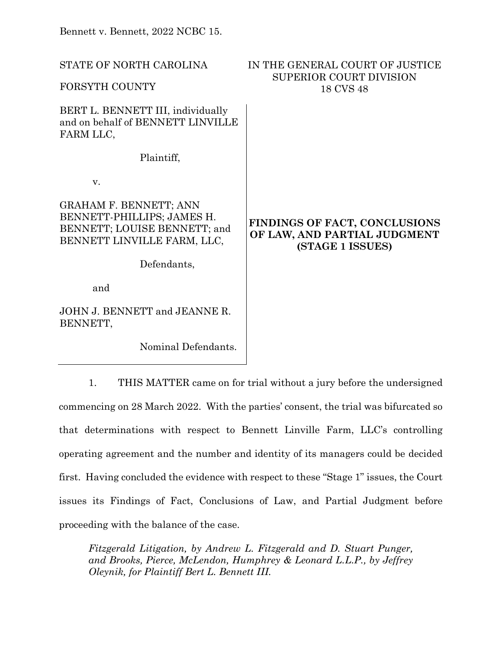| STATE OF NORTH CAROLINA<br>FORSYTH COUNTY                                                                                  | IN THE GENERAL COURT OF JUSTICE<br><b>SUPERIOR COURT DIVISION</b><br>18 CVS 48    |
|----------------------------------------------------------------------------------------------------------------------------|-----------------------------------------------------------------------------------|
| BERT L. BENNETT III, individually<br>and on behalf of BENNETT LINVILLE<br>FARM LLC,                                        |                                                                                   |
| Plaintiff,                                                                                                                 |                                                                                   |
| V.                                                                                                                         |                                                                                   |
| <b>GRAHAM F. BENNETT; ANN</b><br>BENNETT-PHILLIPS; JAMES H.<br>BENNETT; LOUISE BENNETT; and<br>BENNETT LINVILLE FARM, LLC, | FINDINGS OF FACT, CONCLUSIONS<br>OF LAW, AND PARTIAL JUDGMENT<br>(STAGE 1 ISSUES) |
| Defendants,                                                                                                                |                                                                                   |
| and                                                                                                                        |                                                                                   |
| JOHN J. BENNETT and JEANNE R.<br>BENNETT,                                                                                  |                                                                                   |
| Nominal Defendants.                                                                                                        |                                                                                   |

1. THIS MATTER came on for trial without a jury before the undersigned commencing on 28 March 2022. With the parties' consent, the trial was bifurcated so that determinations with respect to Bennett Linville Farm, LLC's controlling operating agreement and the number and identity of its managers could be decided first. Having concluded the evidence with respect to these "Stage 1" issues, the Court issues its Findings of Fact, Conclusions of Law, and Partial Judgment before proceeding with the balance of the case.

*Fitzgerald Litigation, by Andrew L. Fitzgerald and D. Stuart Punger, and Brooks, Pierce, McLendon, Humphrey & Leonard L.L.P., by Jeffrey Oleynik, for Plaintiff Bert L. Bennett III.*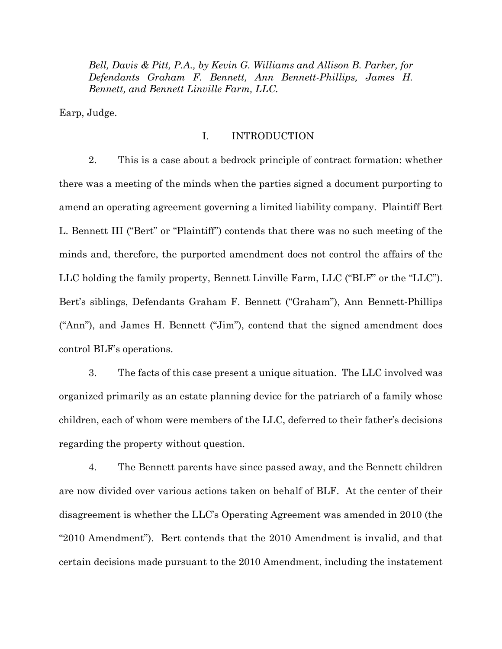*Bell, Davis & Pitt, P.A., by Kevin G. Williams and Allison B. Parker, for Defendants Graham F. Bennett, Ann Bennett-Phillips, James H. Bennett, and Bennett Linville Farm, LLC.*

Earp, Judge.

# I. INTRODUCTION

2. This is a case about a bedrock principle of contract formation: whether there was a meeting of the minds when the parties signed a document purporting to amend an operating agreement governing a limited liability company. Plaintiff Bert L. Bennett III ("Bert" or "Plaintiff") contends that there was no such meeting of the minds and, therefore, the purported amendment does not control the affairs of the LLC holding the family property, Bennett Linville Farm, LLC ("BLF" or the "LLC"). Bert's siblings, Defendants Graham F. Bennett ("Graham"), Ann Bennett-Phillips ("Ann"), and James H. Bennett ("Jim"), contend that the signed amendment does control BLF's operations.

3. The facts of this case present a unique situation. The LLC involved was organized primarily as an estate planning device for the patriarch of a family whose children, each of whom were members of the LLC, deferred to their father's decisions regarding the property without question.

4. The Bennett parents have since passed away, and the Bennett children are now divided over various actions taken on behalf of BLF. At the center of their disagreement is whether the LLC's Operating Agreement was amended in 2010 (the "2010 Amendment"). Bert contends that the 2010 Amendment is invalid, and that certain decisions made pursuant to the 2010 Amendment, including the instatement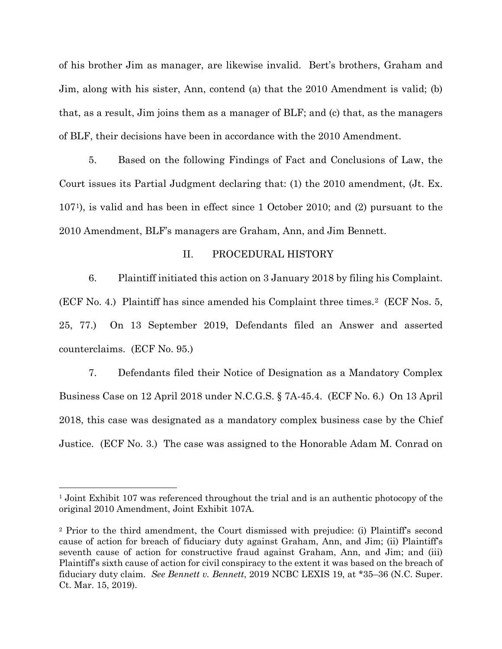of his brother Jim as manager, are likewise invalid. Bert's brothers, Graham and Jim, along with his sister, Ann, contend (a) that the 2010 Amendment is valid; (b) that, as a result, Jim joins them as a manager of BLF; and (c) that, as the managers of BLF, their decisions have been in accordance with the 2010 Amendment.

5. Based on the following Findings of Fact and Conclusions of Law, the Court issues its Partial Judgment declaring that: (1) the 2010 amendment, (Jt. Ex. 107[1\)](#page-2-0), is valid and has been in effect since 1 October 2010; and (2) pursuant to the 2010 Amendment, BLF's managers are Graham, Ann, and Jim Bennett.

## II. PROCEDURAL HISTORY

6. Plaintiff initiated this action on 3 January 2018 by filing his Complaint. (ECF No. 4.) Plaintiff has since amended his Complaint three times.[2](#page-2-1) (ECF Nos. 5, 25, 77.) On 13 September 2019, Defendants filed an Answer and asserted counterclaims. (ECF No. 95.)

7. Defendants filed their Notice of Designation as a Mandatory Complex Business Case on 12 April 2018 under N.C.G.S. § 7A-45.4. (ECF No. 6.) On 13 April 2018, this case was designated as a mandatory complex business case by the Chief Justice. (ECF No. 3.) The case was assigned to the Honorable Adam M. Conrad on

<span id="page-2-0"></span><sup>&</sup>lt;sup>1</sup> Joint Exhibit 107 was referenced throughout the trial and is an authentic photocopy of the original 2010 Amendment, Joint Exhibit 107A.

<span id="page-2-1"></span><sup>2</sup> Prior to the third amendment, the Court dismissed with prejudice: (i) Plaintiff's second cause of action for breach of fiduciary duty against Graham, Ann, and Jim; (ii) Plaintiff's seventh cause of action for constructive fraud against Graham, Ann, and Jim; and (iii) Plaintiff's sixth cause of action for civil conspiracy to the extent it was based on the breach of fiduciary duty claim. *See Bennett v. Bennett*, 2019 NCBC LEXIS 19, at \*35–36 (N.C. Super. Ct. Mar. 15, 2019).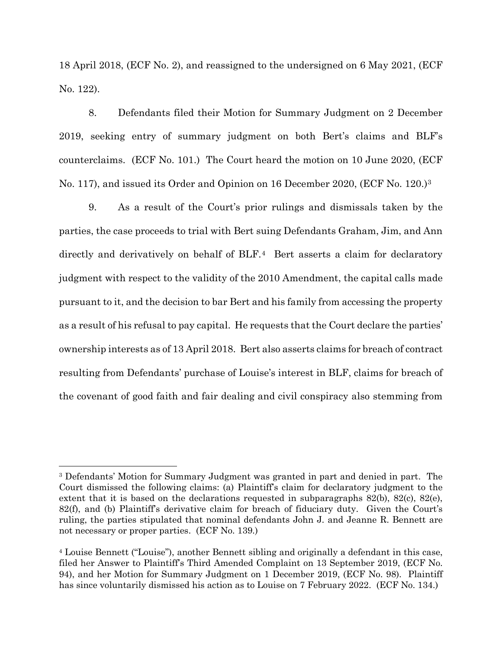18 April 2018, (ECF No. 2), and reassigned to the undersigned on 6 May 2021, (ECF No. 122).

8. Defendants filed their Motion for Summary Judgment on 2 December 2019, seeking entry of summary judgment on both Bert's claims and BLF's counterclaims. (ECF No. 101.) The Court heard the motion on 10 June 2020, (ECF No. 117), and issued its Order and Opinion on 16 December 2020, (ECF No. 120.)[3](#page-3-0)

9. As a result of the Court's prior rulings and dismissals taken by the parties, the case proceeds to trial with Bert suing Defendants Graham, Jim, and Ann directly and derivatively on behalf of BLF.<sup>4</sup> Bert asserts a claim for declaratory judgment with respect to the validity of the 2010 Amendment, the capital calls made pursuant to it, and the decision to bar Bert and his family from accessing the property as a result of his refusal to pay capital. He requests that the Court declare the parties' ownership interests as of 13 April 2018. Bert also asserts claims for breach of contract resulting from Defendants' purchase of Louise's interest in BLF, claims for breach of the covenant of good faith and fair dealing and civil conspiracy also stemming from

<span id="page-3-0"></span><sup>3</sup> Defendants' Motion for Summary Judgment was granted in part and denied in part. The Court dismissed the following claims: (a) Plaintiff's claim for declaratory judgment to the extent that it is based on the declarations requested in subparagraphs  $82(b)$ ,  $82(c)$ ,  $82(e)$ , 82(f), and (b) Plaintiff's derivative claim for breach of fiduciary duty. Given the Court's ruling, the parties stipulated that nominal defendants John J. and Jeanne R. Bennett are not necessary or proper parties. (ECF No. 139.)

<span id="page-3-1"></span><sup>4</sup> Louise Bennett ("Louise"), another Bennett sibling and originally a defendant in this case, filed her Answer to Plaintiff's Third Amended Complaint on 13 September 2019, (ECF No. 94), and her Motion for Summary Judgment on 1 December 2019, (ECF No. 98). Plaintiff has since voluntarily dismissed his action as to Louise on 7 February 2022. (ECF No. 134.)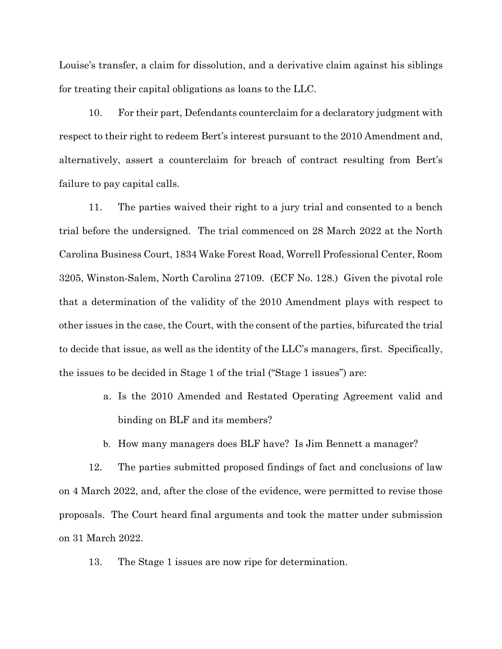Louise's transfer, a claim for dissolution, and a derivative claim against his siblings for treating their capital obligations as loans to the LLC.

10. For their part, Defendants counterclaim for a declaratory judgment with respect to their right to redeem Bert's interest pursuant to the 2010 Amendment and, alternatively, assert a counterclaim for breach of contract resulting from Bert's failure to pay capital calls.

11. The parties waived their right to a jury trial and consented to a bench trial before the undersigned. The trial commenced on 28 March 2022 at the North Carolina Business Court, 1834 Wake Forest Road, Worrell Professional Center, Room 3205, Winston-Salem, North Carolina 27109. (ECF No. 128.) Given the pivotal role that a determination of the validity of the 2010 Amendment plays with respect to other issues in the case, the Court, with the consent of the parties, bifurcated the trial to decide that issue, as well as the identity of the LLC's managers, first. Specifically, the issues to be decided in Stage 1 of the trial ("Stage 1 issues") are:

- a. Is the 2010 Amended and Restated Operating Agreement valid and binding on BLF and its members?
- b. How many managers does BLF have? Is Jim Bennett a manager?

12. The parties submitted proposed findings of fact and conclusions of law on 4 March 2022, and, after the close of the evidence, were permitted to revise those proposals. The Court heard final arguments and took the matter under submission on 31 March 2022.

13. The Stage 1 issues are now ripe for determination.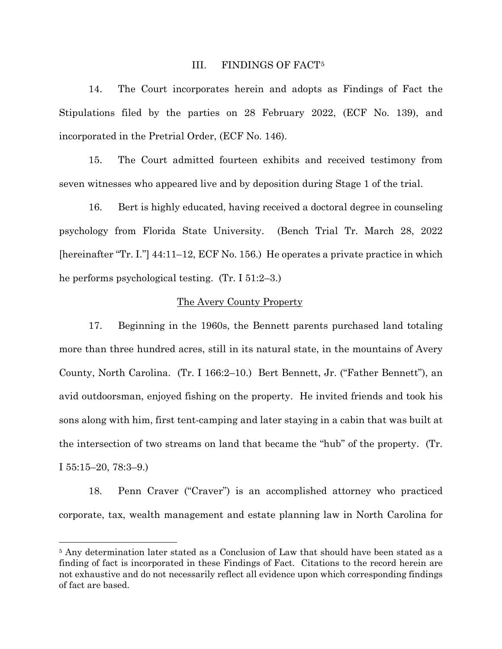### III. FINDINGS OF FACT[5](#page-5-0)

14. The Court incorporates herein and adopts as Findings of Fact the Stipulations filed by the parties on 28 February 2022, (ECF No. 139), and incorporated in the Pretrial Order, (ECF No. 146).

15. The Court admitted fourteen exhibits and received testimony from seven witnesses who appeared live and by deposition during Stage 1 of the trial.

16. Bert is highly educated, having received a doctoral degree in counseling psychology from Florida State University. (Bench Trial Tr. March 28, 2022 [hereinafter "Tr. I."] 44:11–12, ECF No. 156.) He operates a private practice in which he performs psychological testing. (Tr. I 51:2–3.)

## The Avery County Property

17. Beginning in the 1960s, the Bennett parents purchased land totaling more than three hundred acres, still in its natural state, in the mountains of Avery County, North Carolina. (Tr. I 166:2–10.) Bert Bennett, Jr. ("Father Bennett"), an avid outdoorsman, enjoyed fishing on the property. He invited friends and took his sons along with him, first tent-camping and later staying in a cabin that was built at the intersection of two streams on land that became the "hub" of the property. (Tr. I 55:15–20, 78:3–9.)

18. Penn Craver ("Craver") is an accomplished attorney who practiced corporate, tax, wealth management and estate planning law in North Carolina for

<span id="page-5-0"></span><sup>&</sup>lt;sup>5</sup> Any determination later stated as a Conclusion of Law that should have been stated as a finding of fact is incorporated in these Findings of Fact. Citations to the record herein are not exhaustive and do not necessarily reflect all evidence upon which corresponding findings of fact are based.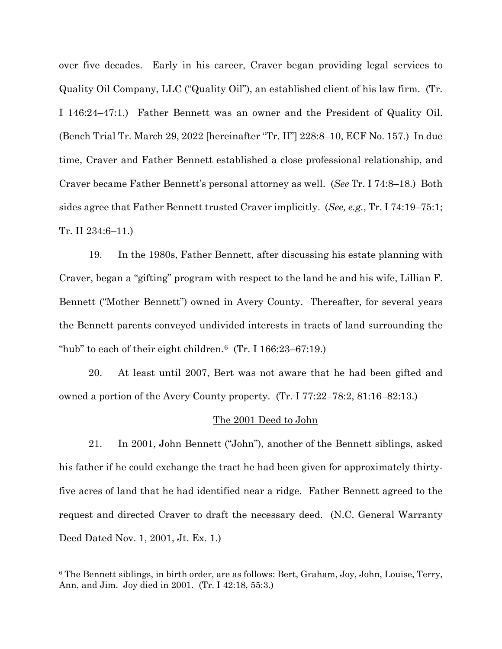over five decades. Early in his career, Craver began providing legal services to Quality Oil Company, LLC ("Quality Oil"), an established client of his law firm. (Tr. I 146:24–47:1.) Father Bennett was an owner and the President of Quality Oil. (Bench Trial Tr. March 29, 2022 [hereinafter "Tr. II"] 228:8–10, ECF No. 157.) In due time, Craver and Father Bennett established a close professional relationship, and Craver became Father Bennett's personal attorney as well. (*See* Tr. I 74:8–18.) Both sides agree that Father Bennett trusted Craver implicitly. (*See, e.g.*, Tr. I 74:19–75:1; Tr. II 234:6–11.)

19. In the 1980s, Father Bennett, after discussing his estate planning with Craver, began a "gifting" program with respect to the land he and his wife, Lillian F. Bennett ("Mother Bennett") owned in Avery County. Thereafter, for several years the Bennett parents conveyed undivided interests in tracts of land surrounding the "hub" to each of their eight children. $6$  (Tr. I 166:23–67:19.)

20. At least until 2007, Bert was not aware that he had been gifted and owned a portion of the Avery County property. (Tr. I 77:22–78:2, 81:16–82:13.)

## The 2001 Deed to John

21. In 2001, John Bennett ("John"), another of the Bennett siblings, asked his father if he could exchange the tract he had been given for approximately thirtyfive acres of land that he had identified near a ridge. Father Bennett agreed to the request and directed Craver to draft the necessary deed. (N.C. General Warranty Deed Dated Nov. 1, 2001, Jt. Ex. 1.)

<span id="page-6-0"></span><sup>6</sup> The Bennett siblings, in birth order, are as follows: Bert, Graham, Joy, John, Louise, Terry, Ann, and Jim. Joy died in 2001. (Tr. I 42:18, 55:3.)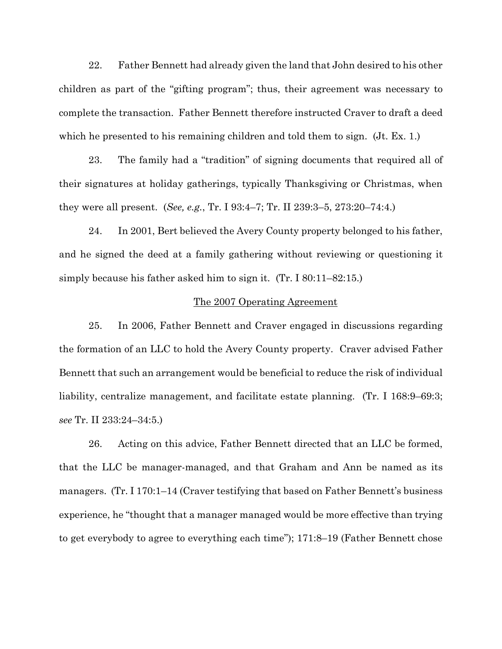22. Father Bennett had already given the land that John desired to his other children as part of the "gifting program"; thus, their agreement was necessary to complete the transaction. Father Bennett therefore instructed Craver to draft a deed which he presented to his remaining children and told them to sign. (Jt. Ex. 1.)

23. The family had a "tradition" of signing documents that required all of their signatures at holiday gatherings, typically Thanksgiving or Christmas, when they were all present. (*See, e.g.*, Tr. I 93:4–7; Tr. II 239:3–5, 273:20–74:4.)

24. In 2001, Bert believed the Avery County property belonged to his father, and he signed the deed at a family gathering without reviewing or questioning it simply because his father asked him to sign it. (Tr. I 80:11–82:15.)

## The 2007 Operating Agreement

25. In 2006, Father Bennett and Craver engaged in discussions regarding the formation of an LLC to hold the Avery County property. Craver advised Father Bennett that such an arrangement would be beneficial to reduce the risk of individual liability, centralize management, and facilitate estate planning. (Tr. I 168:9–69:3; *see* Tr. II 233:24–34:5.)

26. Acting on this advice, Father Bennett directed that an LLC be formed, that the LLC be manager-managed, and that Graham and Ann be named as its managers. (Tr. I 170:1–14 (Craver testifying that based on Father Bennett's business experience, he "thought that a manager managed would be more effective than trying to get everybody to agree to everything each time"); 171:8–19 (Father Bennett chose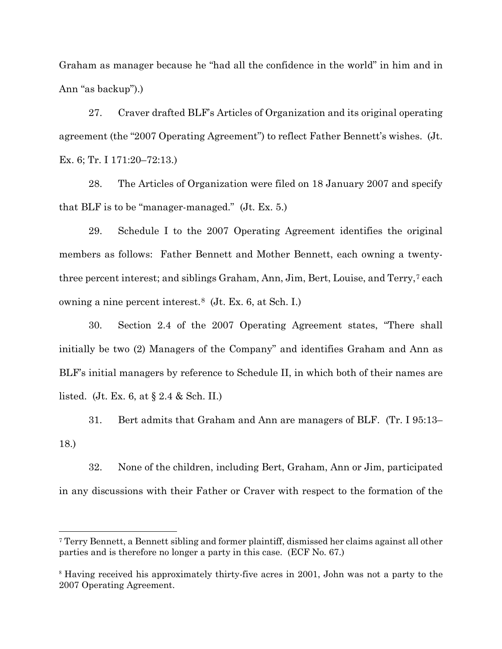Graham as manager because he "had all the confidence in the world" in him and in Ann "as backup").)

27. Craver drafted BLF's Articles of Organization and its original operating agreement (the "2007 Operating Agreement") to reflect Father Bennett's wishes. (Jt. Ex. 6; Tr. I 171:20–72:13.)

28. The Articles of Organization were filed on 18 January 2007 and specify that BLF is to be "manager-managed." (Jt. Ex. 5.)

29. Schedule I to the 2007 Operating Agreement identifies the original members as follows: Father Bennett and Mother Bennett, each owning a twentythree percent interest; and siblings Graham, Ann, Jim, Bert, Louise, and Terry,[7](#page-8-0) each owning a nine percent interest.[8](#page-8-1) (Jt. Ex. 6, at Sch. I.)

30. Section 2.4 of the 2007 Operating Agreement states, "There shall initially be two (2) Managers of the Company" and identifies Graham and Ann as BLF's initial managers by reference to Schedule II, in which both of their names are listed. (Jt. Ex. 6, at § 2.4 & Sch. II.)

31. Bert admits that Graham and Ann are managers of BLF. (Tr. I 95:13– 18.)

32. None of the children, including Bert, Graham, Ann or Jim, participated in any discussions with their Father or Craver with respect to the formation of the

<span id="page-8-0"></span><sup>7</sup> Terry Bennett, a Bennett sibling and former plaintiff, dismissed her claims against all other parties and is therefore no longer a party in this case. (ECF No. 67.)

<span id="page-8-1"></span><sup>8</sup> Having received his approximately thirty-five acres in 2001, John was not a party to the 2007 Operating Agreement.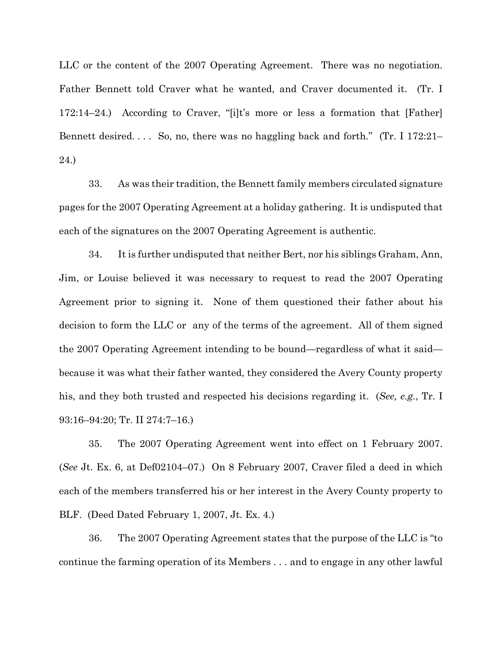LLC or the content of the 2007 Operating Agreement. There was no negotiation. Father Bennett told Craver what he wanted, and Craver documented it. (Tr. I 172:14–24.) According to Craver, "[i]t's more or less a formation that [Father] Bennett desired.... So, no, there was no haggling back and forth." (Tr. I 172:21– 24.)

33. As was their tradition, the Bennett family members circulated signature pages for the 2007 Operating Agreement at a holiday gathering. It is undisputed that each of the signatures on the 2007 Operating Agreement is authentic.

34. It is further undisputed that neither Bert, nor his siblings Graham, Ann, Jim, or Louise believed it was necessary to request to read the 2007 Operating Agreement prior to signing it. None of them questioned their father about his decision to form the LLC or any of the terms of the agreement. All of them signed the 2007 Operating Agreement intending to be bound—regardless of what it said because it was what their father wanted, they considered the Avery County property his, and they both trusted and respected his decisions regarding it. (*See, e.g.*, Tr. I 93:16–94:20; Tr. II 274:7–16.)

35. The 2007 Operating Agreement went into effect on 1 February 2007. (*See* Jt. Ex. 6, at Def02104–07.) On 8 February 2007, Craver filed a deed in which each of the members transferred his or her interest in the Avery County property to BLF. (Deed Dated February 1, 2007, Jt. Ex. 4.)

36. The 2007 Operating Agreement states that the purpose of the LLC is "to continue the farming operation of its Members . . . and to engage in any other lawful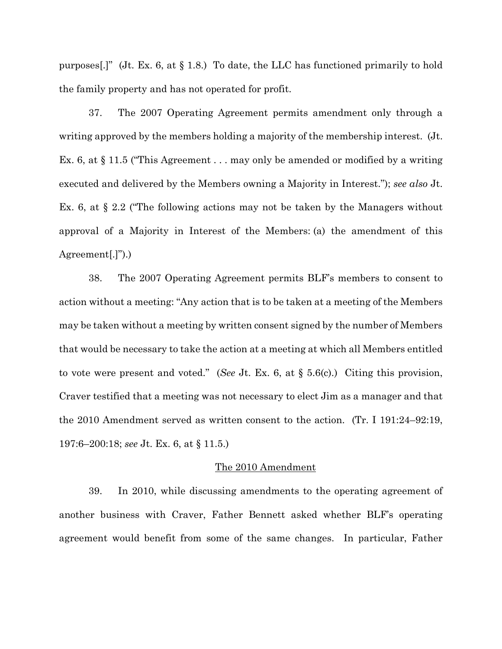purposes[.]" (Jt. Ex. 6, at  $\S 1.8$ .) To date, the LLC has functioned primarily to hold the family property and has not operated for profit.

37. The 2007 Operating Agreement permits amendment only through a writing approved by the members holding a majority of the membership interest. (Jt. Ex. 6, at § 11.5 ("This Agreement . . . may only be amended or modified by a writing executed and delivered by the Members owning a Majority in Interest."); *see also* Jt. Ex. 6, at § 2.2 ("The following actions may not be taken by the Managers without approval of a Majority in Interest of the Members: (a) the amendment of this Agreement[.]").)

38. The 2007 Operating Agreement permits BLF's members to consent to action without a meeting: "Any action that is to be taken at a meeting of the Members may be taken without a meeting by written consent signed by the number of Members that would be necessary to take the action at a meeting at which all Members entitled to vote were present and voted." (*See* Jt. Ex. 6, at § 5.6(c).) Citing this provision, Craver testified that a meeting was not necessary to elect Jim as a manager and that the 2010 Amendment served as written consent to the action. (Tr. I 191:24–92:19, 197:6–200:18; *see* Jt. Ex. 6, at § 11.5.)

#### The 2010 Amendment

39. In 2010, while discussing amendments to the operating agreement of another business with Craver, Father Bennett asked whether BLF's operating agreement would benefit from some of the same changes. In particular, Father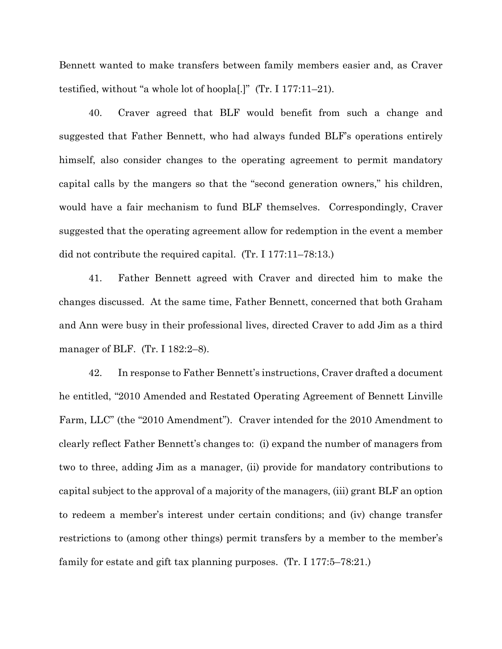Bennett wanted to make transfers between family members easier and, as Craver testified, without "a whole lot of hoopla[.]" (Tr. I 177:11–21).

40. Craver agreed that BLF would benefit from such a change and suggested that Father Bennett, who had always funded BLF's operations entirely himself, also consider changes to the operating agreement to permit mandatory capital calls by the mangers so that the "second generation owners," his children, would have a fair mechanism to fund BLF themselves. Correspondingly, Craver suggested that the operating agreement allow for redemption in the event a member did not contribute the required capital. (Tr. I 177:11–78:13.)

41. Father Bennett agreed with Craver and directed him to make the changes discussed. At the same time, Father Bennett, concerned that both Graham and Ann were busy in their professional lives, directed Craver to add Jim as a third manager of BLF. (Tr. I 182:2–8).

42. In response to Father Bennett's instructions, Craver drafted a document he entitled, "2010 Amended and Restated Operating Agreement of Bennett Linville Farm, LLC" (the "2010 Amendment"). Craver intended for the 2010 Amendment to clearly reflect Father Bennett's changes to: (i) expand the number of managers from two to three, adding Jim as a manager, (ii) provide for mandatory contributions to capital subject to the approval of a majority of the managers, (iii) grant BLF an option to redeem a member's interest under certain conditions; and (iv) change transfer restrictions to (among other things) permit transfers by a member to the member's family for estate and gift tax planning purposes. (Tr. I 177:5–78:21.)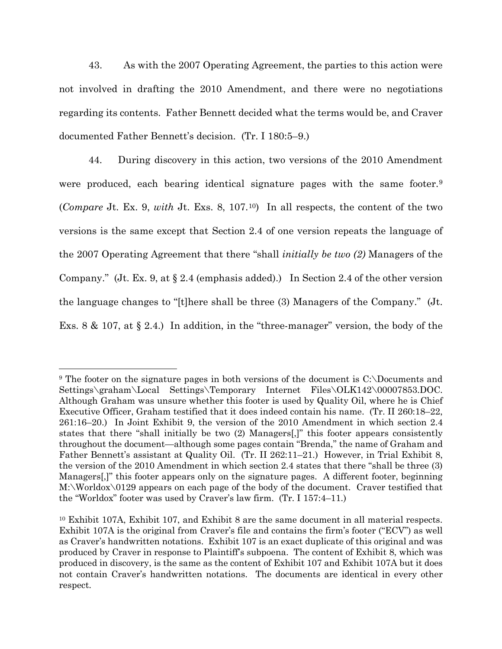43. As with the 2007 Operating Agreement, the parties to this action were not involved in drafting the 2010 Amendment, and there were no negotiations regarding its contents. Father Bennett decided what the terms would be, and Craver documented Father Bennett's decision. (Tr. I 180:5–9.)

44. During discovery in this action, two versions of the 2010 Amendment were produced, each bearing identical signature pages with the same footer.[9](#page-12-0) (*Compare* Jt. Ex. 9, *with* Jt. Exs. 8, 107.[10](#page-12-1)) In all respects, the content of the two versions is the same except that Section 2.4 of one version repeats the language of the 2007 Operating Agreement that there "shall *initially be two (2)* Managers of the Company." (Jt. Ex. 9, at § 2.4 (emphasis added).) In Section 2.4 of the other version the language changes to "[t]here shall be three (3) Managers of the Company." (Jt. Exs. 8 & 107, at § 2.4.) In addition, in the "three-manager" version, the body of the

<span id="page-12-0"></span><sup>9</sup> The footer on the signature pages in both versions of the document is C:\Documents and Settings\graham\Local Settings\Temporary Internet Files\OLK142\00007853.DOC. Although Graham was unsure whether this footer is used by Quality Oil, where he is Chief Executive Officer, Graham testified that it does indeed contain his name. (Tr. II 260:18–22, 261:16–20.) In Joint Exhibit 9, the version of the 2010 Amendment in which section 2.4 states that there "shall initially be two (2) Managers[,]" this footer appears consistently throughout the document—although some pages contain "Brenda," the name of Graham and Father Bennett's assistant at Quality Oil. (Tr. II 262:11–21.) However, in Trial Exhibit 8, the version of the 2010 Amendment in which section 2.4 states that there "shall be three (3) Managers[,]" this footer appears only on the signature pages. A different footer, beginning M:\Worldox\0129 appears on each page of the body of the document. Craver testified that the "Worldox" footer was used by Craver's law firm. (Tr. I 157:4–11.)

<span id="page-12-1"></span><sup>10</sup> Exhibit 107A, Exhibit 107, and Exhibit 8 are the same document in all material respects. Exhibit 107A is the original from Craver's file and contains the firm's footer ("ECV") as well as Craver's handwritten notations. Exhibit 107 is an exact duplicate of this original and was produced by Craver in response to Plaintiff's subpoena. The content of Exhibit 8, which was produced in discovery, is the same as the content of Exhibit 107 and Exhibit 107A but it does not contain Craver's handwritten notations. The documents are identical in every other respect.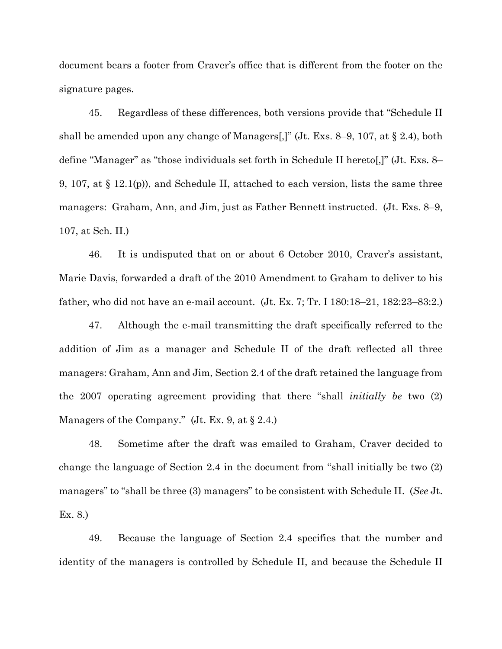document bears a footer from Craver's office that is different from the footer on the signature pages.

45. Regardless of these differences, both versions provide that "Schedule II shall be amended upon any change of Managers[,]" (Jt. Exs. 8–9, 107, at § 2.4), both define "Manager" as "those individuals set forth in Schedule II hereto[,]" (Jt. Exs. 8– 9, 107, at § 12.1(p)), and Schedule II, attached to each version, lists the same three managers: Graham, Ann, and Jim, just as Father Bennett instructed. (Jt. Exs. 8–9, 107, at Sch. II.)

46. It is undisputed that on or about 6 October 2010, Craver's assistant, Marie Davis, forwarded a draft of the 2010 Amendment to Graham to deliver to his father, who did not have an e-mail account. (Jt. Ex. 7; Tr. I 180:18–21, 182:23–83:2.)

47. Although the e-mail transmitting the draft specifically referred to the addition of Jim as a manager and Schedule II of the draft reflected all three managers: Graham, Ann and Jim, Section 2.4 of the draft retained the language from the 2007 operating agreement providing that there "shall *initially be* two (2) Managers of the Company." (Jt. Ex. 9, at  $\S 2.4$ .)

48. Sometime after the draft was emailed to Graham, Craver decided to change the language of Section 2.4 in the document from "shall initially be two (2) managers" to "shall be three (3) managers" to be consistent with Schedule II. (*See* Jt. Ex. 8.)

49. Because the language of Section 2.4 specifies that the number and identity of the managers is controlled by Schedule II, and because the Schedule II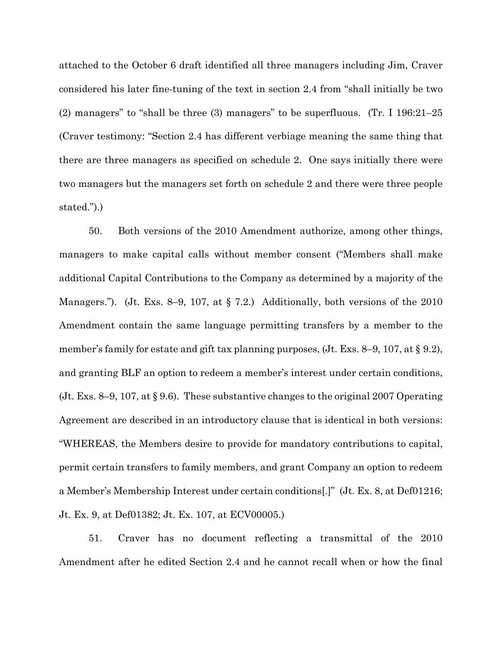attached to the October 6 draft identified all three managers including Jim, Craver considered his later fine-tuning of the text in section 2.4 from "shall initially be two (2) managers" to "shall be three (3) managers" to be superfluous. (Tr. I 196:21–25 (Craver testimony: "Section 2.4 has different verbiage meaning the same thing that there are three managers as specified on schedule 2. One says initially there were two managers but the managers set forth on schedule 2 and there were three people stated.").)

50. Both versions of the 2010 Amendment authorize, among other things, managers to make capital calls without member consent ("Members shall make additional Capital Contributions to the Company as determined by a majority of the Managers."). (Jt. Exs. 8–9, 107, at § 7.2.) Additionally, both versions of the 2010 Amendment contain the same language permitting transfers by a member to the member's family for estate and gift tax planning purposes, (Jt. Exs. 8–9, 107, at § 9.2), and granting BLF an option to redeem a member's interest under certain conditions, (Jt. Exs. 8–9, 107, at § 9.6). These substantive changes to the original 2007 Operating Agreement are described in an introductory clause that is identical in both versions: "WHEREAS, the Members desire to provide for mandatory contributions to capital, permit certain transfers to family members, and grant Company an option to redeem a Member's Membership Interest under certain conditions[.]" (Jt. Ex. 8, at Def01216; Jt. Ex. 9, at Def01382; Jt. Ex. 107, at ECV00005.)

51. Craver has no document reflecting a transmittal of the 2010 Amendment after he edited Section 2.4 and he cannot recall when or how the final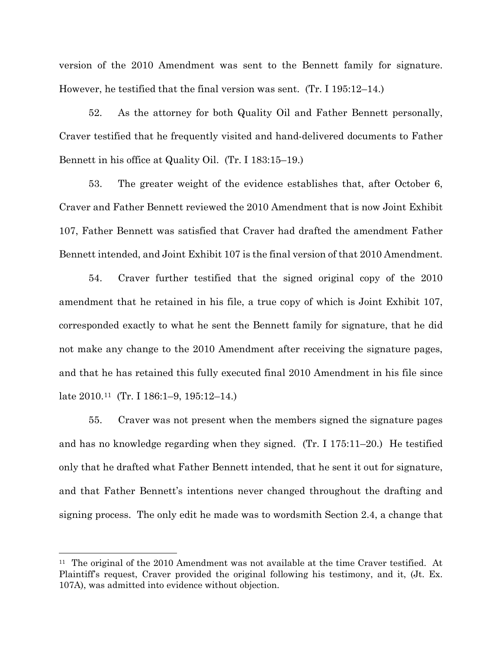version of the 2010 Amendment was sent to the Bennett family for signature. However, he testified that the final version was sent. (Tr. I 195:12–14.)

52. As the attorney for both Quality Oil and Father Bennett personally, Craver testified that he frequently visited and hand-delivered documents to Father Bennett in his office at Quality Oil. (Tr. I 183:15–19.)

53. The greater weight of the evidence establishes that, after October 6, Craver and Father Bennett reviewed the 2010 Amendment that is now Joint Exhibit 107, Father Bennett was satisfied that Craver had drafted the amendment Father Bennett intended, and Joint Exhibit 107 is the final version of that 2010 Amendment.

54. Craver further testified that the signed original copy of the 2010 amendment that he retained in his file, a true copy of which is Joint Exhibit 107, corresponded exactly to what he sent the Bennett family for signature, that he did not make any change to the 2010 Amendment after receiving the signature pages, and that he has retained this fully executed final 2010 Amendment in his file since late 2010.[11](#page-15-0) (Tr. I 186:1–9, 195:12–14.)

55. Craver was not present when the members signed the signature pages and has no knowledge regarding when they signed. (Tr. I 175:11–20.) He testified only that he drafted what Father Bennett intended, that he sent it out for signature, and that Father Bennett's intentions never changed throughout the drafting and signing process. The only edit he made was to wordsmith Section 2.4, a change that

<span id="page-15-0"></span><sup>&</sup>lt;sup>11</sup> The original of the 2010 Amendment was not available at the time Craver testified. At Plaintiff's request, Craver provided the original following his testimony, and it, (Jt. Ex. 107A), was admitted into evidence without objection.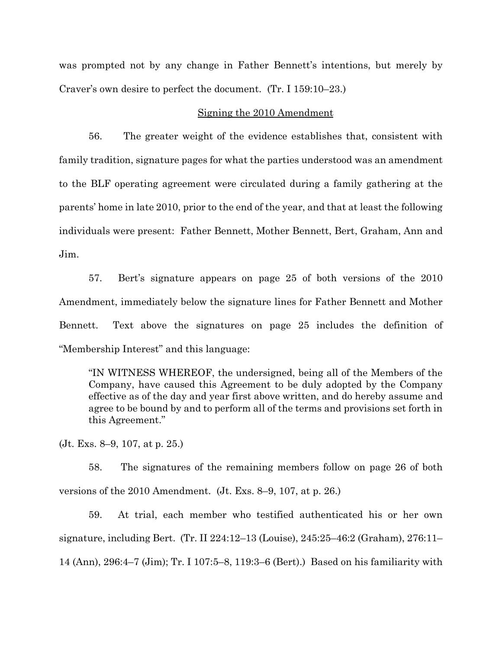was prompted not by any change in Father Bennett's intentions, but merely by Craver's own desire to perfect the document. (Tr. I 159:10–23.)

## Signing the 2010 Amendment

56. The greater weight of the evidence establishes that, consistent with family tradition, signature pages for what the parties understood was an amendment to the BLF operating agreement were circulated during a family gathering at the parents' home in late 2010, prior to the end of the year, and that at least the following individuals were present: Father Bennett, Mother Bennett, Bert, Graham, Ann and Jim.

57. Bert's signature appears on page 25 of both versions of the 2010 Amendment, immediately below the signature lines for Father Bennett and Mother Bennett. Text above the signatures on page 25 includes the definition of "Membership Interest" and this language:

"IN WITNESS WHEREOF, the undersigned, being all of the Members of the Company, have caused this Agreement to be duly adopted by the Company effective as of the day and year first above written, and do hereby assume and agree to be bound by and to perform all of the terms and provisions set forth in this Agreement."

(Jt. Exs. 8–9, 107, at p. 25.)

58. The signatures of the remaining members follow on page 26 of both versions of the 2010 Amendment. (Jt. Exs. 8–9, 107, at p. 26.)

59. At trial, each member who testified authenticated his or her own signature, including Bert. (Tr. II 224:12–13 (Louise), 245:25–46:2 (Graham), 276:11– 14 (Ann), 296:4–7 (Jim); Tr. I 107:5–8, 119:3–6 (Bert).) Based on his familiarity with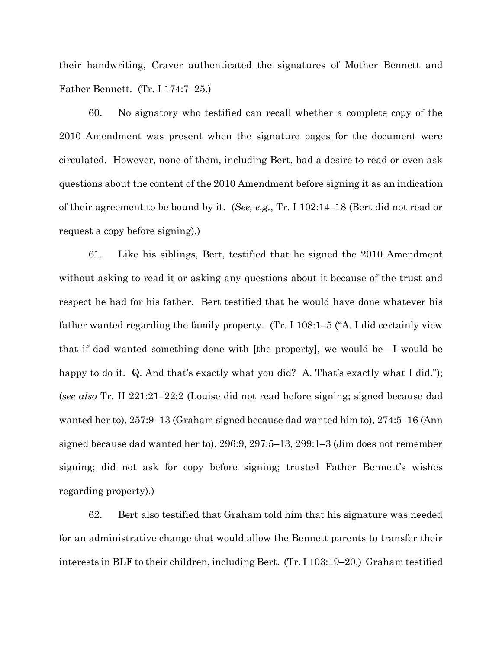their handwriting, Craver authenticated the signatures of Mother Bennett and Father Bennett. (Tr. I 174:7–25.)

60. No signatory who testified can recall whether a complete copy of the 2010 Amendment was present when the signature pages for the document were circulated. However, none of them, including Bert, had a desire to read or even ask questions about the content of the 2010 Amendment before signing it as an indication of their agreement to be bound by it. (*See, e.g.*, Tr. I 102:14–18 (Bert did not read or request a copy before signing).)

61. Like his siblings, Bert, testified that he signed the 2010 Amendment without asking to read it or asking any questions about it because of the trust and respect he had for his father. Bert testified that he would have done whatever his father wanted regarding the family property. (Tr. I 108:1–5 ("A. I did certainly view that if dad wanted something done with [the property], we would be—I would be happy to do it. Q. And that's exactly what you did? A. That's exactly what I did."); (*see also* Tr. II 221:21–22:2 (Louise did not read before signing; signed because dad wanted her to), 257:9–13 (Graham signed because dad wanted him to), 274:5–16 (Ann signed because dad wanted her to), 296:9, 297:5–13, 299:1–3 (Jim does not remember signing; did not ask for copy before signing; trusted Father Bennett's wishes regarding property).)

62. Bert also testified that Graham told him that his signature was needed for an administrative change that would allow the Bennett parents to transfer their interests in BLF to their children, including Bert. (Tr. I 103:19–20.) Graham testified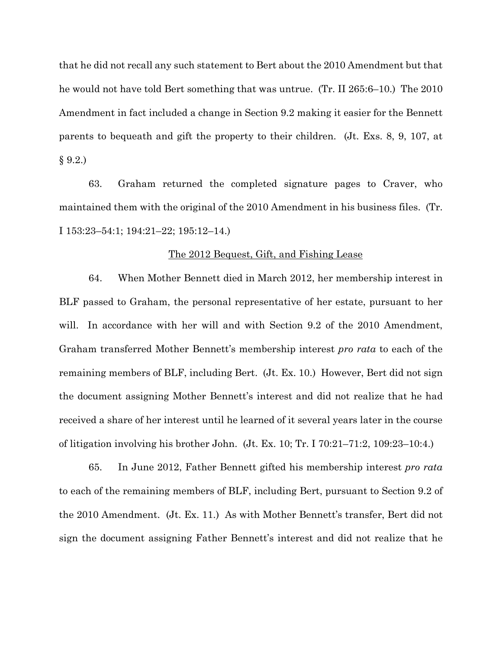that he did not recall any such statement to Bert about the 2010 Amendment but that he would not have told Bert something that was untrue. (Tr. II 265:6–10.) The 2010 Amendment in fact included a change in Section 9.2 making it easier for the Bennett parents to bequeath and gift the property to their children. (Jt. Exs. 8, 9, 107, at  $§ 9.2.)$ 

63. Graham returned the completed signature pages to Craver, who maintained them with the original of the 2010 Amendment in his business files. (Tr. I 153:23–54:1; 194:21–22; 195:12–14.)

### The 2012 Bequest, Gift, and Fishing Lease

64. When Mother Bennett died in March 2012, her membership interest in BLF passed to Graham, the personal representative of her estate, pursuant to her will. In accordance with her will and with Section 9.2 of the 2010 Amendment, Graham transferred Mother Bennett's membership interest *pro rata* to each of the remaining members of BLF, including Bert. (Jt. Ex. 10.) However, Bert did not sign the document assigning Mother Bennett's interest and did not realize that he had received a share of her interest until he learned of it several years later in the course of litigation involving his brother John. (Jt. Ex. 10; Tr. I 70:21–71:2, 109:23–10:4.)

65. In June 2012, Father Bennett gifted his membership interest *pro rata* to each of the remaining members of BLF, including Bert, pursuant to Section 9.2 of the 2010 Amendment. (Jt. Ex. 11.) As with Mother Bennett's transfer, Bert did not sign the document assigning Father Bennett's interest and did not realize that he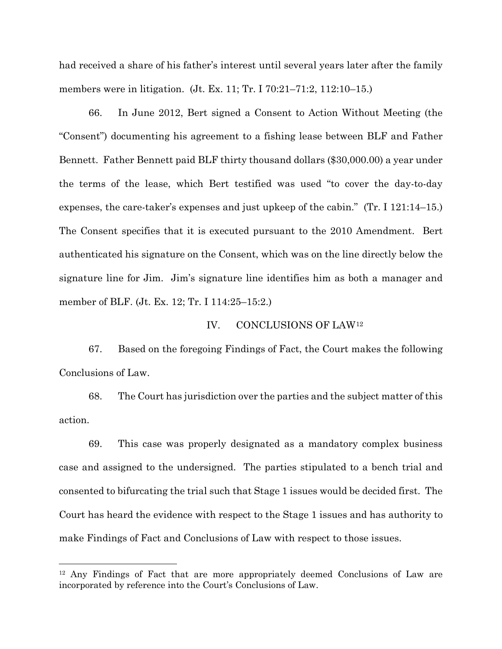had received a share of his father's interest until several years later after the family members were in litigation. (Jt. Ex. 11; Tr. I 70:21–71:2, 112:10–15.)

66. In June 2012, Bert signed a Consent to Action Without Meeting (the "Consent") documenting his agreement to a fishing lease between BLF and Father Bennett. Father Bennett paid BLF thirty thousand dollars (\$30,000.00) a year under the terms of the lease, which Bert testified was used "to cover the day-to-day expenses, the care-taker's expenses and just upkeep of the cabin." (Tr. I 121:14–15.) The Consent specifies that it is executed pursuant to the 2010 Amendment. Bert authenticated his signature on the Consent, which was on the line directly below the signature line for Jim. Jim's signature line identifies him as both a manager and member of BLF. (Jt. Ex. 12; Tr. I 114:25–15:2.)

## IV. CONCLUSIONS OF LAW[12](#page-19-0)

67. Based on the foregoing Findings of Fact, the Court makes the following Conclusions of Law.

68. The Court has jurisdiction over the parties and the subject matter of this action.

69. This case was properly designated as a mandatory complex business case and assigned to the undersigned. The parties stipulated to a bench trial and consented to bifurcating the trial such that Stage 1 issues would be decided first. The Court has heard the evidence with respect to the Stage 1 issues and has authority to make Findings of Fact and Conclusions of Law with respect to those issues.

<span id="page-19-0"></span><sup>12</sup> Any Findings of Fact that are more appropriately deemed Conclusions of Law are incorporated by reference into the Court's Conclusions of Law.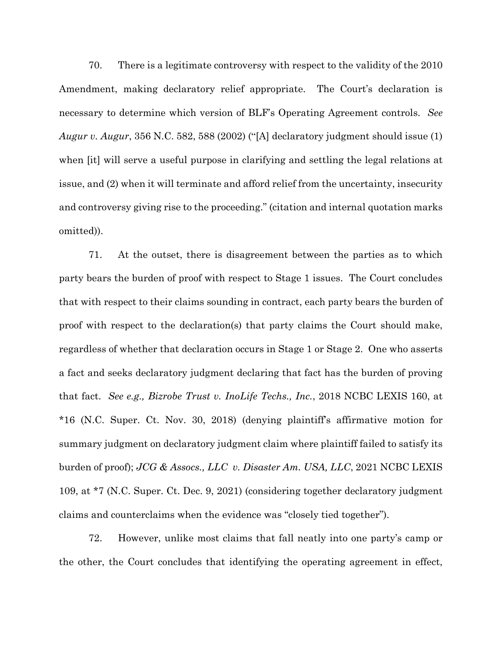70. There is a legitimate controversy with respect to the validity of the 2010 Amendment, making declaratory relief appropriate. The Court's declaration is necessary to determine which version of BLF's Operating Agreement controls. *See Augur v. Augur*, 356 N.C. 582, 588 (2002) ("[A] declaratory judgment should issue (1) when [it] will serve a useful purpose in clarifying and settling the legal relations at issue, and (2) when it will terminate and afford relief from the uncertainty, insecurity and controversy giving rise to the proceeding." (citation and internal quotation marks omitted)).

71. At the outset, there is disagreement between the parties as to which party bears the burden of proof with respect to Stage 1 issues. The Court concludes that with respect to their claims sounding in contract, each party bears the burden of proof with respect to the declaration(s) that party claims the Court should make, regardless of whether that declaration occurs in Stage 1 or Stage 2. One who asserts a fact and seeks declaratory judgment declaring that fact has the burden of proving that fact. *See e.g., Bizrobe Trust v. InoLife Techs., Inc.*, 2018 NCBC LEXIS 160, at \*16 (N.C. Super. Ct. Nov. 30, 2018) (denying plaintiff's affirmative motion for summary judgment on declaratory judgment claim where plaintiff failed to satisfy its burden of proof); *JCG & Assocs., LLC v. Disaster Am. USA, LLC*, 2021 NCBC LEXIS 109, at \*7 (N.C. Super. Ct. Dec. 9, 2021) (considering together declaratory judgment claims and counterclaims when the evidence was "closely tied together").

72. However, unlike most claims that fall neatly into one party's camp or the other, the Court concludes that identifying the operating agreement in effect,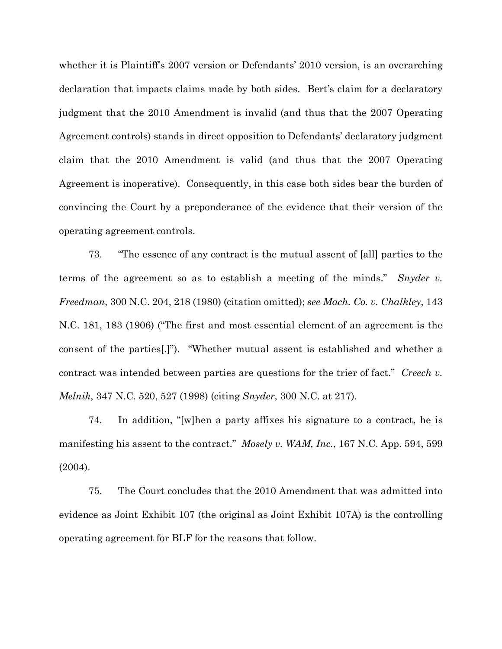whether it is Plaintiff's 2007 version or Defendants' 2010 version, is an overarching declaration that impacts claims made by both sides. Bert's claim for a declaratory judgment that the 2010 Amendment is invalid (and thus that the 2007 Operating Agreement controls) stands in direct opposition to Defendants' declaratory judgment claim that the 2010 Amendment is valid (and thus that the 2007 Operating Agreement is inoperative). Consequently, in this case both sides bear the burden of convincing the Court by a preponderance of the evidence that their version of the operating agreement controls.

73. "The essence of any contract is the mutual assent of [all] parties to the terms of the agreement so as to establish a meeting of the minds." *Snyder v. Freedman*, 300 N.C. 204, 218 (1980) (citation omitted); *see Mach. Co. v. Chalkley*, 143 N.C. 181, 183 (1906) ("The first and most essential element of an agreement is the consent of the parties[.]"). "Whether mutual assent is established and whether a contract was intended between parties are questions for the trier of fact." *Creech v. Melnik*, 347 N.C. 520, 527 (1998) (citing *Snyder*, 300 N.C. at 217).

74. In addition, "[w]hen a party affixes his signature to a contract, he is manifesting his assent to the contract." *Mosely v. WAM, Inc.*, 167 N.C. App. 594, 599 (2004).

75. The Court concludes that the 2010 Amendment that was admitted into evidence as Joint Exhibit 107 (the original as Joint Exhibit 107A) is the controlling operating agreement for BLF for the reasons that follow.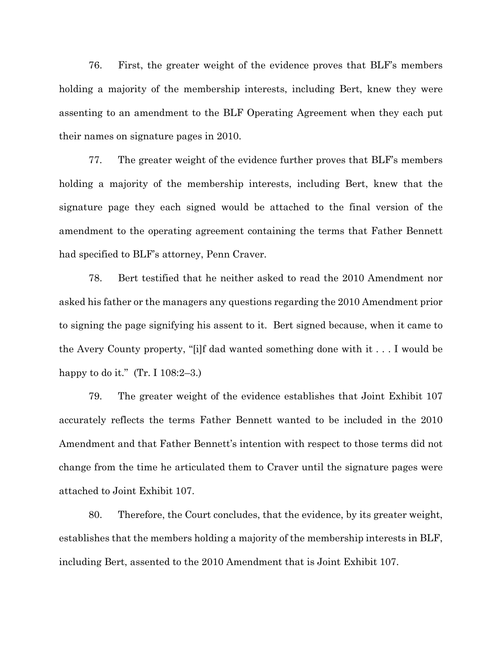76. First, the greater weight of the evidence proves that BLF's members holding a majority of the membership interests, including Bert, knew they were assenting to an amendment to the BLF Operating Agreement when they each put their names on signature pages in 2010.

77. The greater weight of the evidence further proves that BLF's members holding a majority of the membership interests, including Bert, knew that the signature page they each signed would be attached to the final version of the amendment to the operating agreement containing the terms that Father Bennett had specified to BLF's attorney, Penn Craver.

78. Bert testified that he neither asked to read the 2010 Amendment nor asked his father or the managers any questions regarding the 2010 Amendment prior to signing the page signifying his assent to it. Bert signed because, when it came to the Avery County property, "[i]f dad wanted something done with it . . . I would be happy to do it."  $(Tr. I 108:2-3.)$ 

79. The greater weight of the evidence establishes that Joint Exhibit 107 accurately reflects the terms Father Bennett wanted to be included in the 2010 Amendment and that Father Bennett's intention with respect to those terms did not change from the time he articulated them to Craver until the signature pages were attached to Joint Exhibit 107.

80. Therefore, the Court concludes, that the evidence, by its greater weight, establishes that the members holding a majority of the membership interests in BLF, including Bert, assented to the 2010 Amendment that is Joint Exhibit 107.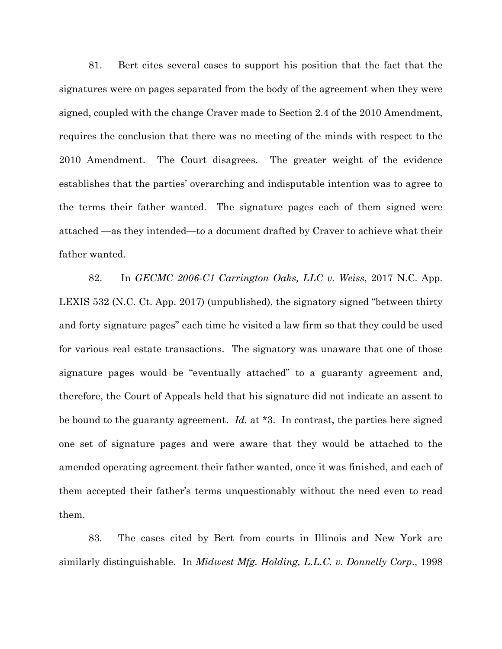81. Bert cites several cases to support his position that the fact that the signatures were on pages separated from the body of the agreement when they were signed, coupled with the change Craver made to Section 2.4 of the 2010 Amendment, requires the conclusion that there was no meeting of the minds with respect to the 2010 Amendment. The Court disagrees. The greater weight of the evidence establishes that the parties' overarching and indisputable intention was to agree to the terms their father wanted. The signature pages each of them signed were attached —as they intended—to a document drafted by Craver to achieve what their father wanted.

82. In *GECMC 2006-C1 Carrington Oaks, LLC v. Weiss*, 2017 N.C. App. LEXIS 532 (N.C. Ct. App. 2017) (unpublished), the signatory signed "between thirty and forty signature pages" each time he visited a law firm so that they could be used for various real estate transactions. The signatory was unaware that one of those signature pages would be "eventually attached" to a guaranty agreement and, therefore, the Court of Appeals held that his signature did not indicate an assent to be bound to the guaranty agreement. *Id.* at \*3.In contrast, the parties here signed one set of signature pages and were aware that they would be attached to the amended operating agreement their father wanted, once it was finished, and each of them accepted their father's terms unquestionably without the need even to read them.

83. The cases cited by Bert from courts in Illinois and New York are similarly distinguishable. In *Midwest Mfg. Holding, L.L.C. v. Donnelly Corp*., 1998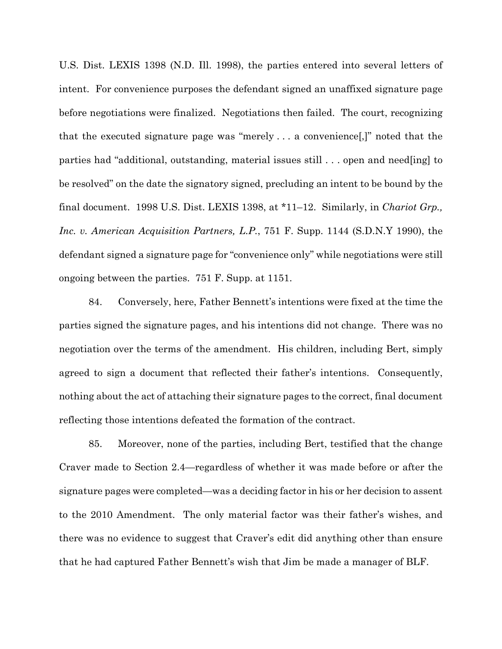U.S. Dist. LEXIS 1398 (N.D. Ill. 1998), the parties entered into several letters of intent. For convenience purposes the defendant signed an unaffixed signature page before negotiations were finalized. Negotiations then failed. The court, recognizing that the executed signature page was "merely . . . a convenience[,]" noted that the parties had "additional, outstanding, material issues still . . . open and need[ing] to be resolved" on the date the signatory signed, precluding an intent to be bound by the final document. 1998 U.S. Dist. LEXIS 1398, at \*11–12. Similarly, in *Chariot Grp., Inc. v. American Acquisition Partners, L.P.*, 751 F. Supp. 1144 (S.D.N.Y 1990), the defendant signed a signature page for "convenience only" while negotiations were still ongoing between the parties. 751 F. Supp. at 1151.

84. Conversely, here, Father Bennett's intentions were fixed at the time the parties signed the signature pages, and his intentions did not change. There was no negotiation over the terms of the amendment. His children, including Bert, simply agreed to sign a document that reflected their father's intentions. Consequently, nothing about the act of attaching their signature pages to the correct, final document reflecting those intentions defeated the formation of the contract.

85. Moreover, none of the parties, including Bert, testified that the change Craver made to Section 2.4—regardless of whether it was made before or after the signature pages were completed—was a deciding factor in his or her decision to assent to the 2010 Amendment. The only material factor was their father's wishes, and there was no evidence to suggest that Craver's edit did anything other than ensure that he had captured Father Bennett's wish that Jim be made a manager of BLF.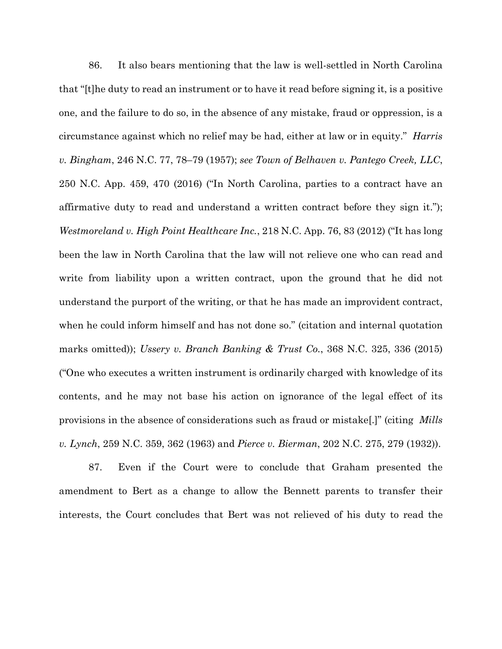86. It also bears mentioning that the law is well-settled in North Carolina that "[t]he duty to read an instrument or to have it read before signing it, is a positive one, and the failure to do so, in the absence of any mistake, fraud or oppression, is a circumstance against which no relief may be had, either at law or in equity." *Harris v. Bingham*, 246 N.C. 77, 78–79 (1957); *see Town of Belhaven v. Pantego Creek, LLC*, 250 N.C. App. 459, 470 (2016) ("In North Carolina, parties to a contract have an affirmative duty to read and understand a written contract before they sign it."); *Westmoreland v. High Point Healthcare Inc.*, 218 N.C. App. 76, 83 (2012) ("It has long been the law in North Carolina that the law will not relieve one who can read and write from liability upon a written contract, upon the ground that he did not understand the purport of the writing, or that he has made an improvident contract, when he could inform himself and has not done so." (citation and internal quotation marks omitted)); *Ussery v. Branch Banking & Trust Co.*, 368 N.C. 325, 336 (2015) ("One who executes a written instrument is ordinarily charged with knowledge of its contents, and he may not base his action on ignorance of the legal effect of its provisions in the absence of considerations such as fraud or mistake[.]" (citing *Mills v. Lynch*, 259 N.C. 359, 362 (1963) and *Pierce v. Bierman*, 202 N.C. 275, 279 (1932)).

87. Even if the Court were to conclude that Graham presented the amendment to Bert as a change to allow the Bennett parents to transfer their interests, the Court concludes that Bert was not relieved of his duty to read the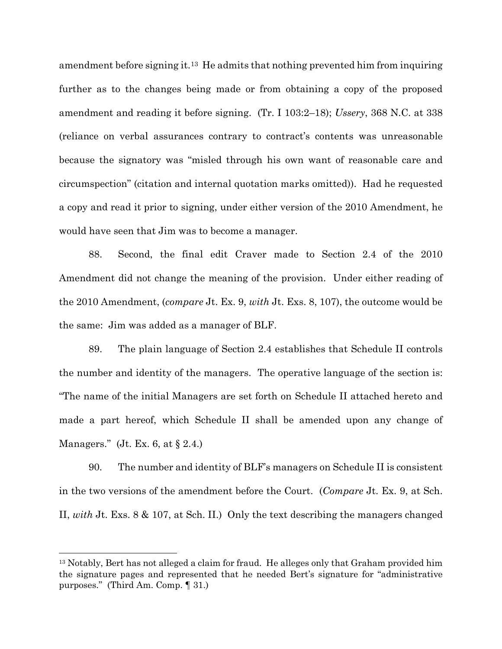amendment before signing it.[13](#page-26-0) He admits that nothing prevented him from inquiring further as to the changes being made or from obtaining a copy of the proposed amendment and reading it before signing. (Tr. I 103:2–18); *Ussery*, 368 N.C. at 338 (reliance on verbal assurances contrary to contract's contents was unreasonable because the signatory was "misled through his own want of reasonable care and circumspection" (citation and internal quotation marks omitted)). Had he requested a copy and read it prior to signing, under either version of the 2010 Amendment, he would have seen that Jim was to become a manager.

88. Second, the final edit Craver made to Section 2.4 of the 2010 Amendment did not change the meaning of the provision. Under either reading of the 2010 Amendment, (*compare* Jt. Ex. 9, *with* Jt. Exs. 8, 107), the outcome would be the same: Jim was added as a manager of BLF.

89. The plain language of Section 2.4 establishes that Schedule II controls the number and identity of the managers. The operative language of the section is: "The name of the initial Managers are set forth on Schedule II attached hereto and made a part hereof, which Schedule II shall be amended upon any change of Managers." (Jt. Ex. 6, at  $\S 2.4$ .)

90. The number and identity of BLF's managers on Schedule II is consistent in the two versions of the amendment before the Court. (*Compare* Jt. Ex. 9, at Sch. II, *with* Jt. Exs. 8 & 107, at Sch. II.) Only the text describing the managers changed

<span id="page-26-0"></span><sup>&</sup>lt;sup>13</sup> Notably, Bert has not alleged a claim for fraud. He alleges only that Graham provided him the signature pages and represented that he needed Bert's signature for "administrative purposes." (Third Am. Comp. ¶ 31.)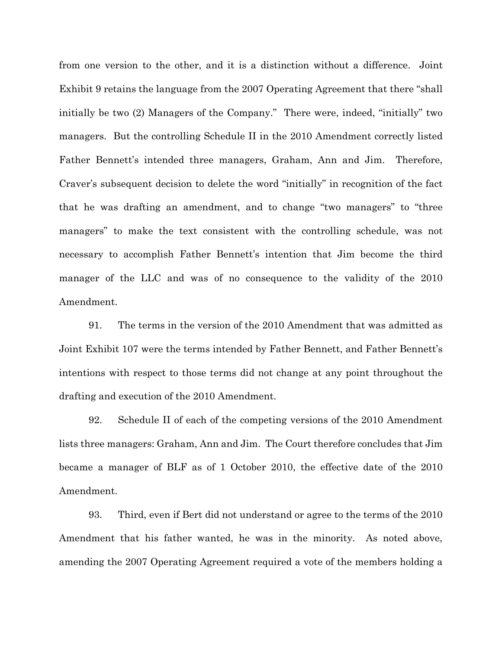from one version to the other, and it is a distinction without a difference. Joint Exhibit 9 retains the language from the 2007 Operating Agreement that there "shall initially be two (2) Managers of the Company." There were, indeed, "initially" two managers. But the controlling Schedule II in the 2010 Amendment correctly listed Father Bennett's intended three managers, Graham, Ann and Jim. Therefore, Craver's subsequent decision to delete the word "initially" in recognition of the fact that he was drafting an amendment, and to change "two managers" to "three managers" to make the text consistent with the controlling schedule, was not necessary to accomplish Father Bennett's intention that Jim become the third manager of the LLC and was of no consequence to the validity of the 2010 Amendment.

91. The terms in the version of the 2010 Amendment that was admitted as Joint Exhibit 107 were the terms intended by Father Bennett, and Father Bennett's intentions with respect to those terms did not change at any point throughout the drafting and execution of the 2010 Amendment.

92. Schedule II of each of the competing versions of the 2010 Amendment lists three managers: Graham, Ann and Jim. The Court therefore concludes that Jim became a manager of BLF as of 1 October 2010, the effective date of the 2010 Amendment.

93. Third, even if Bert did not understand or agree to the terms of the 2010 Amendment that his father wanted, he was in the minority. As noted above, amending the 2007 Operating Agreement required a vote of the members holding a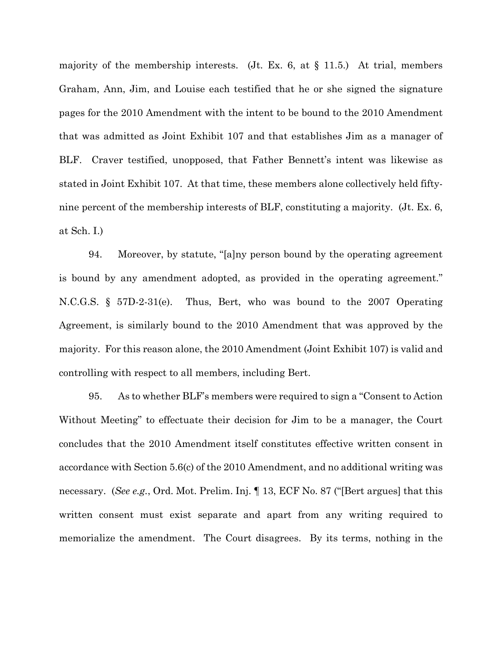majority of the membership interests. (Jt. Ex. 6, at  $\S$  11.5.) At trial, members Graham, Ann, Jim, and Louise each testified that he or she signed the signature pages for the 2010 Amendment with the intent to be bound to the 2010 Amendment that was admitted as Joint Exhibit 107 and that establishes Jim as a manager of BLF. Craver testified, unopposed, that Father Bennett's intent was likewise as stated in Joint Exhibit 107. At that time, these members alone collectively held fiftynine percent of the membership interests of BLF, constituting a majority. (Jt. Ex. 6, at Sch. I.)

94. Moreover, by statute, "[a]ny person bound by the operating agreement is bound by any amendment adopted, as provided in the operating agreement." N.C.G.S. § 57D-2-31(e). Thus, Bert, who was bound to the 2007 Operating Agreement, is similarly bound to the 2010 Amendment that was approved by the majority. For this reason alone, the 2010 Amendment (Joint Exhibit 107) is valid and controlling with respect to all members, including Bert.

95. As to whether BLF's members were required to sign a "Consent to Action Without Meeting" to effectuate their decision for Jim to be a manager, the Court concludes that the 2010 Amendment itself constitutes effective written consent in accordance with Section 5.6(c) of the 2010 Amendment, and no additional writing was necessary. (*See e.g.*, Ord. Mot. Prelim. Inj. ¶ 13, ECF No. 87 ("[Bert argues] that this written consent must exist separate and apart from any writing required to memorialize the amendment. The Court disagrees. By its terms, nothing in the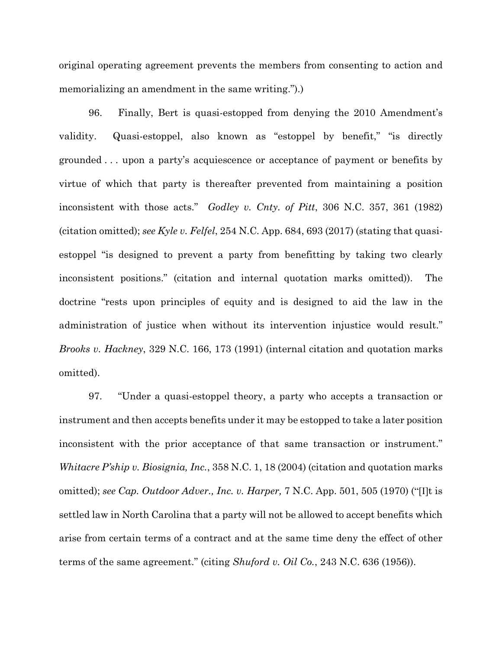original operating agreement prevents the members from consenting to action and memorializing an amendment in the same writing.").)

96. Finally, Bert is quasi-estopped from denying the 2010 Amendment's validity. Quasi-estoppel, also known as "estoppel by benefit," "is directly grounded . . . upon a party's acquiescence or acceptance of payment or benefits by virtue of which that party is thereafter prevented from maintaining a position inconsistent with those acts." *Godley v. Cnty. of Pitt*, 306 N.C. 357, 361 (1982) (citation omitted); *see Kyle v. Felfel*, 254 N.C. App. 684, 693 (2017) (stating that quasiestoppel "is designed to prevent a party from benefitting by taking two clearly inconsistent positions." (citation and internal quotation marks omitted)). The doctrine "rests upon principles of equity and is designed to aid the law in the administration of justice when without its intervention injustice would result." *Brooks v. Hackney*, 329 N.C. 166, 173 (1991) (internal citation and quotation marks omitted).

97. "Under a quasi-estoppel theory, a party who accepts a transaction or instrument and then accepts benefits under it may be estopped to take a later position inconsistent with the prior acceptance of that same transaction or instrument." *Whitacre P'ship v. Biosignia, Inc.*, 358 N.C. 1, 18 (2004) (citation and quotation marks omitted); *see Cap. Outdoor Adver., Inc. v. Harper,* 7 N.C. App. 501, 505 (1970) ("[I]t is settled law in North Carolina that a party will not be allowed to accept benefits which arise from certain terms of a contract and at the same time deny the effect of other terms of the same agreement." (citing *Shuford v. Oil Co.*, 243 N.C. 636 (1956)).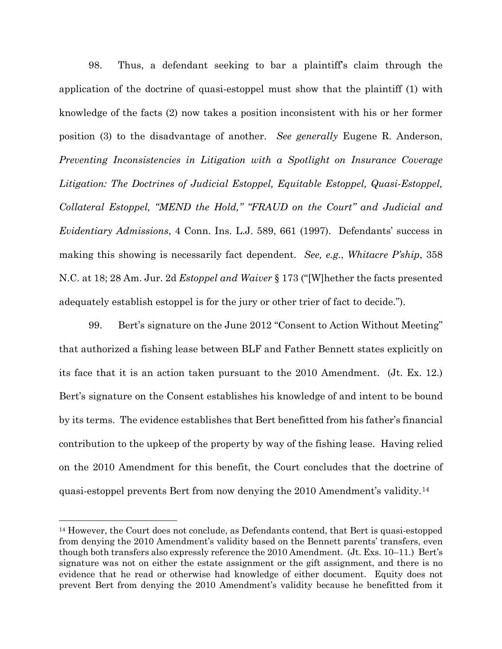98. Thus, a defendant seeking to bar a plaintiff's claim through the application of the doctrine of quasi-estoppel must show that the plaintiff (1) with knowledge of the facts (2) now takes a position inconsistent with his or her former position (3) to the disadvantage of another. *See generally* Eugene R. Anderson, *Preventing Inconsistencies in Litigation with a Spotlight on Insurance Coverage Litigation: The Doctrines of Judicial Estoppel, Equitable Estoppel, Quasi-Estoppel, Collateral Estoppel, "MEND the Hold," "FRAUD on the Court" and Judicial and Evidentiary Admissions*, 4 Conn. Ins. L.J. 589, 661 (1997). Defendants' success in making this showing is necessarily fact dependent. *See, e.g.*, *Whitacre P'ship*, 358 N.C. at 18; 28 Am. Jur. 2d *Estoppel and Waiver* § 173 ("[W]hether the facts presented adequately establish estoppel is for the jury or other trier of fact to decide.").

99. Bert's signature on the June 2012 "Consent to Action Without Meeting" that authorized a fishing lease between BLF and Father Bennett states explicitly on its face that it is an action taken pursuant to the 2010 Amendment. (Jt. Ex. 12.) Bert's signature on the Consent establishes his knowledge of and intent to be bound by its terms. The evidence establishes that Bert benefitted from his father's financial contribution to the upkeep of the property by way of the fishing lease. Having relied on the 2010 Amendment for this benefit, the Court concludes that the doctrine of quasi-estoppel prevents Bert from now denying the 2010 Amendment's validity.[14](#page-30-0)

<span id="page-30-0"></span><sup>14</sup> However, the Court does not conclude, as Defendants contend, that Bert is quasi-estopped from denying the 2010 Amendment's validity based on the Bennett parents' transfers, even though both transfers also expressly reference the 2010 Amendment. (Jt. Exs. 10–11.) Bert's signature was not on either the estate assignment or the gift assignment, and there is no evidence that he read or otherwise had knowledge of either document. Equity does not prevent Bert from denying the 2010 Amendment's validity because he benefitted from it